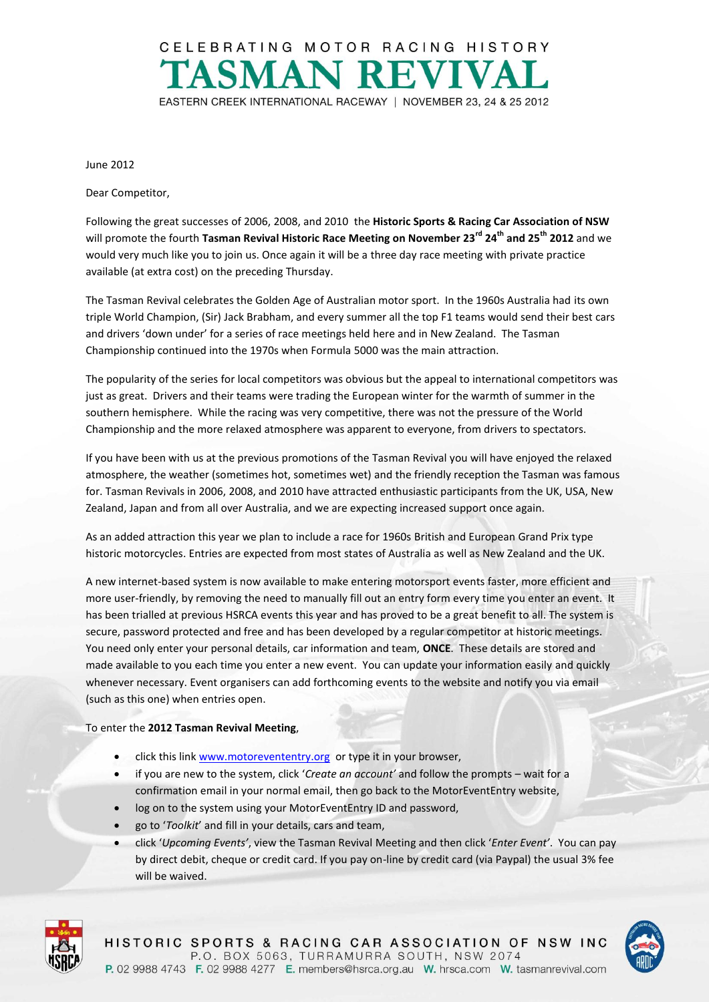

June 2012

Dear Competitor,

Following the great successes of 2006, 2008, and 2010 the **Historic Sports & Racing Car Association of NSW**  will promote the fourth **Tasman Revival Historic Race Meeting on November 23rd 24th and 25th 2012** and we would very much like you to join us. Once again it will be a three day race meeting with private practice available (at extra cost) on the preceding Thursday.

The Tasman Revival celebrates the Golden Age of Australian motor sport. In the 1960s Australia had its own triple World Champion, (Sir) Jack Brabham, and every summer all the top F1 teams would send their best cars and drivers 'down under' for a series of race meetings held here and in New Zealand. The Tasman Championship continued into the 1970s when Formula 5000 was the main attraction.

The popularity of the series for local competitors was obvious but the appeal to international competitors was just as great. Drivers and their teams were trading the European winter for the warmth of summer in the southern hemisphere. While the racing was very competitive, there was not the pressure of the World Championship and the more relaxed atmosphere was apparent to everyone, from drivers to spectators.

If you have been with us at the previous promotions of the Tasman Revival you will have enjoyed the relaxed atmosphere, the weather (sometimes hot, sometimes wet) and the friendly reception the Tasman was famous for. Tasman Revivals in 2006, 2008, and 2010 have attracted enthusiastic participants from the UK, USA, New Zealand, Japan and from all over Australia, and we are expecting increased support once again.

As an added attraction this year we plan to include a race for 1960s British and European Grand Prix type historic motorcycles. Entries are expected from most states of Australia as well as New Zealand and the UK.

A new internet-based system is now available to make entering motorsport events faster, more efficient and more user-friendly, by removing the need to manually fill out an entry form every time you enter an event. It has been trialled at previous HSRCA events this year and has proved to be a great benefit to all. The system is secure, password protected and free and has been developed by a regular competitor at historic meetings. You need only enter your personal details, car information and team, **ONCE**. These details are stored and made available to you each time you enter a new event. You can update your information easily and quickly whenever necessary. Event organisers can add forthcoming events to the website and notify you via email (such as this one) when entries open.

## To enter the **2012 Tasman Revival Meeting**,

- click this link [www.motorevententry.org](http://www.motorevententry.org/) or type it in your browser,
- if you are new to the system, click '*Create an account'* and follow the prompts wait for a confirmation email in your normal email, then go back to the MotorEventEntry website,
- log on to the system using your MotorEventEntry ID and password,
- go to '*Toolkit*' and fill in your details, cars and team,
- click '*Upcoming Events'*, view the Tasman Revival Meeting and then click '*Enter Event'*. You can pay by direct debit, cheque or credit card. If you pay on-line by credit card (via Paypal) the usual 3% fee will be waived.